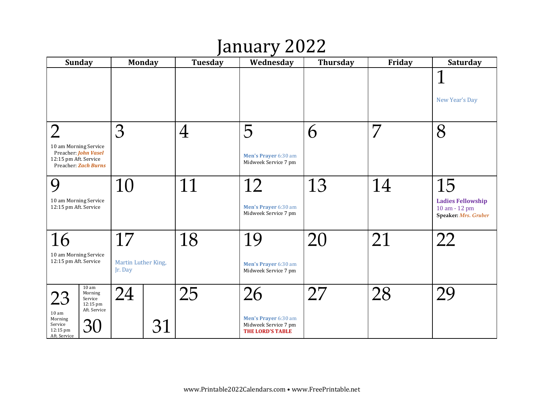# January 2022

| <b>Sunday</b>                                                                                  | <b>Monday</b>                  | Tuesday  | Wednesday                                                               | <b>Thursday</b> | Friday | Saturday                                                          |
|------------------------------------------------------------------------------------------------|--------------------------------|----------|-------------------------------------------------------------------------|-----------------|--------|-------------------------------------------------------------------|
|                                                                                                |                                |          |                                                                         |                 |        | $\mathbf 1$<br>New Year's Day                                     |
|                                                                                                | 3                              | $\bm{4}$ | 5                                                                       | 6               | 7      | 8                                                                 |
| 10 am Morning Service<br>Preacher: John Vasel<br>12:15 pm Aft. Service<br>Preacher: Zach Burns |                                |          | Men's Prayer 6:30 am<br>Midweek Service 7 pm                            |                 |        |                                                                   |
| $\mathbf Q$                                                                                    | 10                             | 1        | 12                                                                      | 13              | 14     | 15                                                                |
| 10 am Morning Service<br>12:15 pm Aft. Service                                                 |                                |          | Men's Prayer 6:30 am<br>Midweek Service 7 pm                            |                 |        | <b>Ladies Fellowship</b><br>10 am - 12 pm<br>Speaker: Mrs. Gruber |
| 16                                                                                             | 17                             | 18       | 19                                                                      | 20              | 21     | 22                                                                |
| 10 am Morning Service<br>12:15 pm Aft. Service                                                 | Martin Luther King,<br>Jr. Day |          | Men's Prayer 6:30 am<br>Midweek Service 7 pm                            |                 |        |                                                                   |
| $10\:\rm{am}$<br>Morning<br>23<br>Service<br>12:15 pm<br>Aft. Service                          | 24                             | 25       | 26                                                                      |                 | 28     | 29                                                                |
| 10 <sub>am</sub><br>Morning<br>Service<br>30<br>12:15 pm<br>Aft. Service                       | 31                             |          | Men's Prayer 6:30 am<br>Midweek Service 7 pm<br><b>THE LORD'S TABLE</b> |                 |        |                                                                   |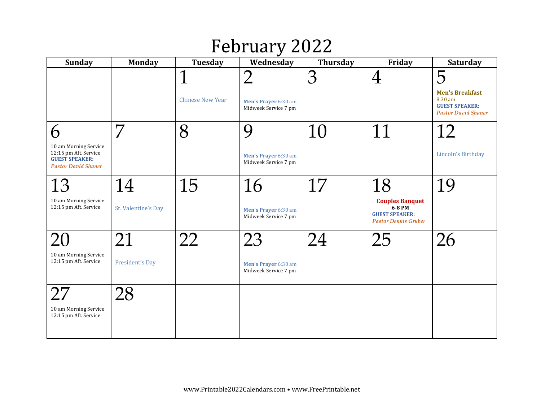## February 2022

| <b>Sunday</b>                                                                                              | <b>Monday</b>             | Tuesday                                | Wednesday                                          | <b>Thursday</b> | Friday                                                                                         | <b>Saturday</b>                                                                               |
|------------------------------------------------------------------------------------------------------------|---------------------------|----------------------------------------|----------------------------------------------------|-----------------|------------------------------------------------------------------------------------------------|-----------------------------------------------------------------------------------------------|
|                                                                                                            |                           | $\mathbf 1$<br><b>Chinese New Year</b> | つ<br>Men's Prayer 6:30 am<br>Midweek Service 7 pm  | 3               | $\rm 4$                                                                                        | 5<br><b>Men's Breakfast</b><br>8:30 am<br><b>GUEST SPEAKER:</b><br><b>Pastor David Shaner</b> |
| 6<br>10 am Morning Service<br>12:15 pm Aft. Service<br><b>GUEST SPEAKER:</b><br><b>Pastor David Shaner</b> | 7                         | 8                                      | 9<br>Men's Prayer 6:30 am<br>Midweek Service 7 pm  | 10              | 11                                                                                             | 12<br>Lincoln's Birthday                                                                      |
| 13<br>10 am Morning Service<br>12:15 pm Aft. Service                                                       | 14<br>St. Valentine's Day | 15                                     | 16<br>Men's Prayer 6:30 am<br>Midweek Service 7 pm | 17              | 18<br><b>Couples Banquet</b><br>6-8 PM<br><b>GUEST SPEAKER:</b><br><b>Pastor Dennis Gruber</b> | 19                                                                                            |
| 10 am Morning Service<br>12:15 pm Aft. Service                                                             | 21<br>President's Day     | 22                                     | 23<br>Men's Prayer 6:30 am<br>Midweek Service 7 pm | 24              | 25                                                                                             | 26                                                                                            |
| 10 am Morning Service<br>12:15 pm Aft. Service                                                             | 28                        |                                        |                                                    |                 |                                                                                                |                                                                                               |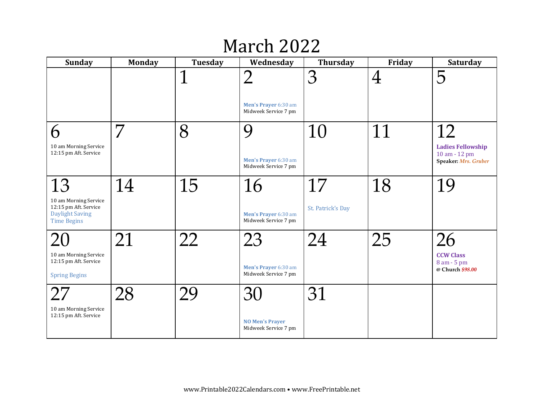## March 2022

| <b>Sunday</b>                                                                                        | <b>Monday</b> | Tuesday     | Wednesday                                            | <b>Thursday</b>         | Friday  | <b>Saturday</b>                                                         |
|------------------------------------------------------------------------------------------------------|---------------|-------------|------------------------------------------------------|-------------------------|---------|-------------------------------------------------------------------------|
|                                                                                                      |               | $\mathbf 1$ | つ<br>Men's Prayer 6:30 am<br>Midweek Service 7 pm    | 3                       | $\rm 4$ | 5                                                                       |
| 6<br>10 am Morning Service<br>12:15 pm Aft. Service                                                  | 7             | 8           | Ų<br>Men's Prayer 6:30 am<br>Midweek Service 7 pm    | 10                      |         | 12<br><b>Ladies Fellowship</b><br>10 am - 12 pm<br>Speaker: Mrs. Gruber |
| 13<br>10 am Morning Service<br>12:15 pm Aft. Service<br><b>Daylight Saving</b><br><b>Time Begins</b> | 14            | 15          | 16<br>Men's Prayer 6:30 am<br>Midweek Service 7 pm   | 17<br>St. Patrick's Day | 18      | 19                                                                      |
| 10 am Morning Service<br>12:15 pm Aft. Service<br><b>Spring Begins</b>                               | 21            | 22          | 23<br>Men's Prayer 6:30 am<br>Midweek Service 7 pm   | 24                      | 25      | 26<br><b>CCW Class</b><br>8 am - 5 pm<br>@ Church \$98.00               |
| 27<br>10 am Morning Service<br>12:15 pm Aft. Service                                                 | 28            | 29          | 30<br><b>NO Men's Prayer</b><br>Midweek Service 7 pm | 31                      |         |                                                                         |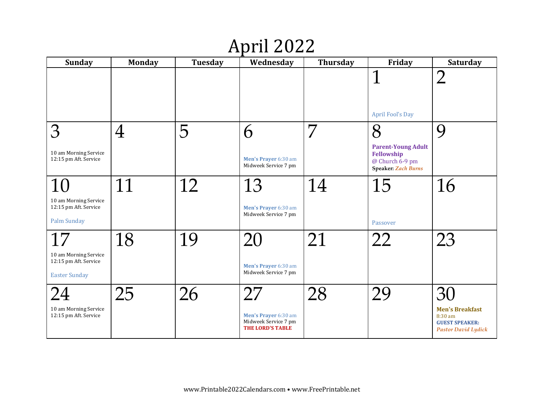# April 2022

| <b>Sunday</b>                                                          | <b>Monday</b> | Tuesday | Wednesday                                                               | <b>Thursday</b> | Friday                                                                                   | Saturday                                                                                 |
|------------------------------------------------------------------------|---------------|---------|-------------------------------------------------------------------------|-----------------|------------------------------------------------------------------------------------------|------------------------------------------------------------------------------------------|
|                                                                        |               |         |                                                                         |                 | 1<br><b>April Fool's Day</b>                                                             | $\overline{2}$                                                                           |
| 3                                                                      | $\rm 4$       | 5       | 6                                                                       | 7               | 8                                                                                        | 9                                                                                        |
| 10 am Morning Service<br>12:15 pm Aft. Service                         |               |         | Men's Prayer 6:30 am<br>Midweek Service 7 pm                            |                 | <b>Parent-Young Adult</b><br>Fellowship<br>@ Church 6-9 pm<br><b>Speaker: Zach Burns</b> |                                                                                          |
|                                                                        | 11            | 12      | 13                                                                      | 14              | 15                                                                                       | 16                                                                                       |
| 10 am Morning Service<br>12:15 pm Aft. Service<br>Palm Sunday          |               |         | Men's Prayer 6:30 am<br>Midweek Service 7 pm                            |                 | Passover                                                                                 |                                                                                          |
| 17                                                                     | 18            | 19      | 20                                                                      | 21              | 77                                                                                       | 23                                                                                       |
| 10 am Morning Service<br>12:15 pm Aft. Service<br><b>Easter Sunday</b> |               |         | Men's Prayer 6:30 am<br>Midweek Service 7 pm                            |                 |                                                                                          |                                                                                          |
|                                                                        | 25            | 26      | 27                                                                      | 28              | 29                                                                                       | 30                                                                                       |
| 10 am Morning Service<br>12:15 pm Aft. Service                         |               |         | Men's Prayer 6:30 am<br>Midweek Service 7 pm<br><b>THE LORD'S TABLE</b> |                 |                                                                                          | <b>Men's Breakfast</b><br>8:30 am<br><b>GUEST SPEAKER:</b><br><b>Pastor David Lydick</b> |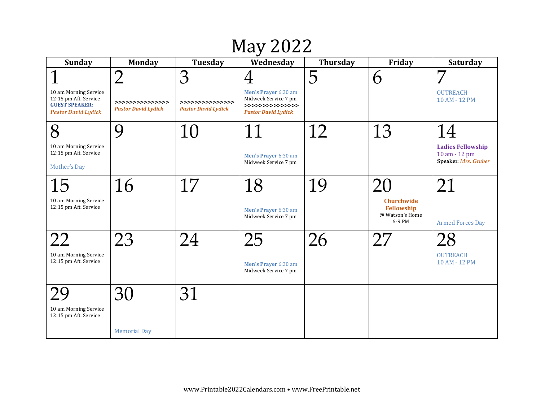# May 2022

| <b>Sunday</b>                                                                                         | <b>Monday</b>                                  | <b>Tuesday</b>                                 | Wednesday                                                                                      | <b>Thursday</b> | Friday                                                       | <b>Saturday</b>                           |
|-------------------------------------------------------------------------------------------------------|------------------------------------------------|------------------------------------------------|------------------------------------------------------------------------------------------------|-----------------|--------------------------------------------------------------|-------------------------------------------|
|                                                                                                       | $\overline{2}$                                 | 3                                              | $\overline{4}$                                                                                 | 5               | 6                                                            | 7                                         |
| 10 am Morning Service<br>12:15 pm Aft. Service<br><b>GUEST SPEAKER:</b><br><b>Pastor David Lydick</b> | >>>>>>>>>>>>>>>><br><b>Pastor David Lydick</b> | >>>>>>>>>>>>>>>><br><b>Pastor David Lydick</b> | Men's Prayer 6:30 am<br>Midweek Service 7 pm<br>>>>>>>>>>>>>>>>><br><b>Pastor David Lydick</b> |                 |                                                              | <b>OUTREACH</b><br>10 AM - 12 PM          |
| 8                                                                                                     | 9                                              | 10                                             | 11                                                                                             | 12              | 13                                                           | 14                                        |
| 10 am Morning Service<br>12:15 pm Aft. Service                                                        |                                                |                                                | Men's Prayer 6:30 am                                                                           |                 |                                                              | <b>Ladies Fellowship</b><br>10 am - 12 pm |
| Mother's Day                                                                                          |                                                |                                                | Midweek Service 7 pm                                                                           |                 |                                                              | Speaker: Mrs. Gruber                      |
| 15                                                                                                    | 16                                             | 17                                             | 18                                                                                             | 19              |                                                              | 21                                        |
| 10 am Morning Service<br>12:15 pm Aft. Service                                                        |                                                |                                                | Men's Prayer 6:30 am<br>Midweek Service 7 pm                                                   |                 | <b>Churchwide</b><br>Fellowship<br>@ Watson's Home<br>6-9 PM | <b>Armed Forces Day</b>                   |
| フフ                                                                                                    | 23                                             | 24                                             | 25                                                                                             | 26              |                                                              | 28                                        |
| 10 am Morning Service<br>12:15 pm Aft. Service                                                        |                                                |                                                | Men's Prayer 6:30 am<br>Midweek Service 7 pm                                                   |                 |                                                              | <b>OUTREACH</b><br>10 AM - 12 PM          |
|                                                                                                       | 30                                             | 31                                             |                                                                                                |                 |                                                              |                                           |
| 10 am Morning Service<br>12:15 pm Aft. Service                                                        |                                                |                                                |                                                                                                |                 |                                                              |                                           |
|                                                                                                       | <b>Memorial Day</b>                            |                                                |                                                                                                |                 |                                                              |                                           |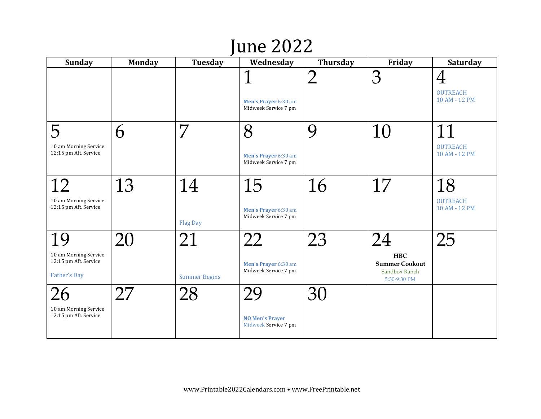# June 2022

| <b>Sunday</b>                                                               | <b>Monday</b> | <b>Tuesday</b>             | Wednesday                                            | <b>Thursday</b> | Friday                                                                     | Saturday                                           |
|-----------------------------------------------------------------------------|---------------|----------------------------|------------------------------------------------------|-----------------|----------------------------------------------------------------------------|----------------------------------------------------|
|                                                                             |               |                            | Men's Prayer 6:30 am<br>Midweek Service 7 pm         | $\mathcal{P}$   | 3                                                                          | $\overline{4}$<br><b>OUTREACH</b><br>10 AM - 12 PM |
| 5<br>10 am Morning Service<br>12:15 pm Aft. Service                         | 6             | 7                          | 8<br>Men's Prayer 6:30 am<br>Midweek Service 7 pm    | 9               | 10                                                                         | 11<br><b>OUTREACH</b><br>10 AM - 12 PM             |
| 10 am Morning Service<br>12:15 pm Aft. Service                              | 13            | 14<br><b>Flag Day</b>      | 15<br>Men's Prayer 6:30 am<br>Midweek Service 7 pm   | 16              | 17                                                                         | 18<br><b>OUTREACH</b><br>10 AM - 12 PM             |
| 19<br>10 am Morning Service<br>12:15 pm Aft. Service<br><b>Father's Day</b> | 20            | 21<br><b>Summer Begins</b> | 22<br>Men's Prayer 6:30 am<br>Midweek Service 7 pm   | 23              | 24<br><b>HBC</b><br><b>Summer Cookout</b><br>Sandbox Ranch<br>5:30-9:30 PM | 25                                                 |
| 10 am Morning Service<br>12:15 pm Aft. Service                              | 27            | 28                         | 29<br><b>NO Men's Prayer</b><br>Midweek Service 7 pm | $\mathfrak{Z}$  |                                                                            |                                                    |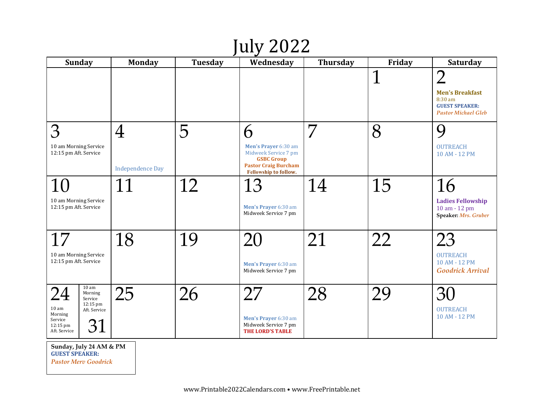# July 2022

| <b>Sunday</b>                                                                                                                                 | <b>Monday</b>           | Tuesday | Wednesday                                                                                                                        | <b>Thursday</b> | Friday | <b>Saturday</b>                                                                                       |
|-----------------------------------------------------------------------------------------------------------------------------------------------|-------------------------|---------|----------------------------------------------------------------------------------------------------------------------------------|-----------------|--------|-------------------------------------------------------------------------------------------------------|
|                                                                                                                                               |                         |         |                                                                                                                                  |                 | 1      | $\bigcap$<br><b>Men's Breakfast</b><br>8:30 am<br><b>GUEST SPEAKER:</b><br><b>Pastor Michael Gleb</b> |
| З                                                                                                                                             | 4                       | 5       | 6                                                                                                                                | 7               | 8      | 9                                                                                                     |
| 10 am Morning Service<br>12:15 pm Aft. Service                                                                                                | <b>Independence Day</b> |         | Men's Prayer 6:30 am<br>Midweek Service 7 pm<br><b>GSBC Group</b><br><b>Pastor Craig Burcham</b><br><b>Fellowship to follow.</b> |                 |        | <b>OUTREACH</b><br>10 AM - 12 PM                                                                      |
| 10                                                                                                                                            | 11                      | 12      | 13                                                                                                                               | 14              | 15     | 16                                                                                                    |
| 10 am Morning Service<br>12:15 pm Aft. Service                                                                                                |                         |         | Men's Prayer 6:30 am<br>Midweek Service 7 pm                                                                                     |                 |        | <b>Ladies Fellowship</b><br>10 am - 12 pm<br>Speaker: Mrs. Gruber                                     |
| 17                                                                                                                                            | 18                      | 19      |                                                                                                                                  | 21              | 22     | 23                                                                                                    |
| 10 am Morning Service<br>12:15 pm Aft. Service                                                                                                |                         |         | Men's Prayer 6:30 am<br>Midweek Service 7 pm                                                                                     |                 |        | <b>OUTREACH</b><br>10 AM - 12 PM<br><b>Goodrick Arrival</b>                                           |
| 10 am<br>Morning<br>Service<br>12:15 pm<br>10 <sub>am</sub><br>Aft. Service<br>Morning<br>Service<br>31<br>$12:15 \text{ pm}$<br>Aft. Service | 25                      | 26      | 27<br>Men's Prayer 6:30 am<br>Midweek Service 7 pm<br><b>THE LORD'S TABLE</b>                                                    | 28              |        | 30<br><b>OUTREACH</b><br>10 AM - 12 PM                                                                |
| $\sqrt{a}$ $\sqrt{a}$ $\sqrt{a}$                                                                                                              |                         |         |                                                                                                                                  |                 |        |                                                                                                       |

**Sunday, July 24 AM & PM GUEST SPEAKER:** *Pastor Merv Goodrick*

www.Printable2022Calendars.com • www.FreePrintable.net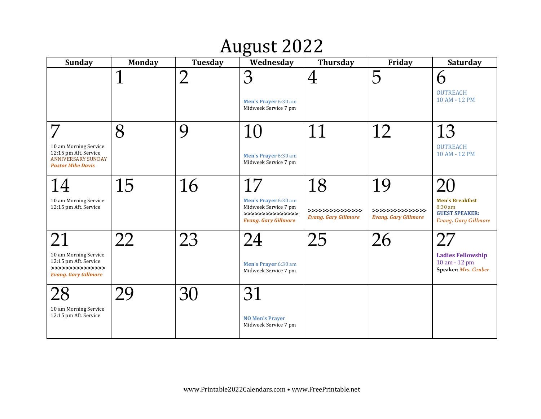# August 2022

| <b>Sunday</b>                                                                                           | <b>Monday</b> | <b>Tuesday</b> | Wednesday                                                                                             | <b>Thursday</b>                                       | Friday                                                | Saturday                                                                                  |
|---------------------------------------------------------------------------------------------------------|---------------|----------------|-------------------------------------------------------------------------------------------------------|-------------------------------------------------------|-------------------------------------------------------|-------------------------------------------------------------------------------------------|
|                                                                                                         | 1             | $\overline{2}$ | 3<br>Men's Prayer 6:30 am<br>Midweek Service 7 pm                                                     | 4                                                     | 5                                                     | 6<br><b>OUTREACH</b><br>10 AM - 12 PM                                                     |
| 10 am Morning Service<br>12:15 pm Aft. Service<br><b>ANNIVERSARY SUNDAY</b><br><b>Pastor Mike Davis</b> | 8             | 9              | 10<br>Men's Prayer 6:30 am<br>Midweek Service 7 pm                                                    |                                                       | 12                                                    | 13<br><b>OUTREACH</b><br>10 AM - 12 PM                                                    |
| 10 am Morning Service<br>12:15 pm Aft. Service                                                          | 15            | 16             | 17<br>Men's Prayer 6:30 am<br>Midweek Service 7 pm<br>>>>>>>>>>>>>>>>><br><b>Evang. Gary Gillmore</b> | 18<br>>>>>>>>>>>>>>>>><br><b>Evang. Gary Gillmore</b> | 19<br>>>>>>>>>>>>>>>>><br><b>Evang. Gary Gillmore</b> | <b>Men's Breakfast</b><br>8:30 am<br><b>GUEST SPEAKER:</b><br><b>Evang. Gary Gillmore</b> |
| 10 am Morning Service<br>12:15 pm Aft. Service<br>>>>>>>>>>>>>>>>><br><b>Evang. Gary Gillmore</b>       | 22            | 23             | 24<br>Men's Prayer 6:30 am<br>Midweek Service 7 pm                                                    | 25                                                    | 26                                                    | 27<br><b>Ladies Fellowship</b><br>10 am - 12 pm<br>Speaker: Mrs. Gruber                   |
| 10 am Morning Service<br>12:15 pm Aft. Service                                                          |               | 30             | 31<br><b>NO Men's Prayer</b><br>Midweek Service 7 pm                                                  |                                                       |                                                       |                                                                                           |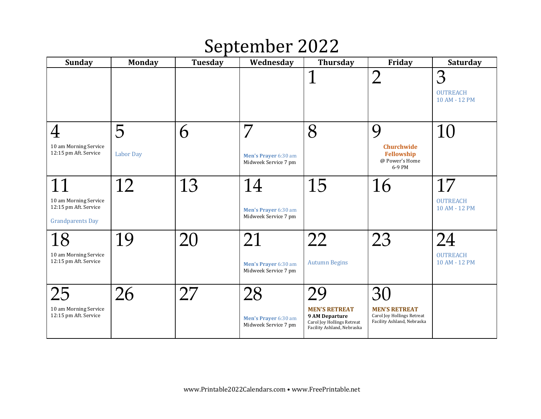### September 2022

| <b>Sunday</b>                                                             | <b>Monday</b>    | Tuesday | Wednesday                                    | <b>Thursday</b>                                                                                                  | Friday                                                                           | <b>Saturday</b>                       |
|---------------------------------------------------------------------------|------------------|---------|----------------------------------------------|------------------------------------------------------------------------------------------------------------------|----------------------------------------------------------------------------------|---------------------------------------|
|                                                                           |                  |         |                                              | $\overline{1}$                                                                                                   | $\bigcap$                                                                        | 3<br><b>OUTREACH</b><br>10 AM - 12 PM |
| $\rm 4$                                                                   | 5                | 6       | 7                                            | 8                                                                                                                | $\boldsymbol{Q}$                                                                 | 10                                    |
| 10 am Morning Service<br>12:15 pm Aft. Service                            | <b>Labor Day</b> |         | Men's Prayer 6:30 am<br>Midweek Service 7 pm |                                                                                                                  | <b>Churchwide</b><br>Fellowship<br>@ Power's Home<br>6-9 PM                      |                                       |
|                                                                           | 12               | 13      | 14                                           | 15                                                                                                               | 16                                                                               | 17                                    |
| 10 am Morning Service<br>12:15 pm Aft. Service<br><b>Grandparents Day</b> |                  |         | Men's Prayer 6:30 am<br>Midweek Service 7 pm |                                                                                                                  |                                                                                  | <b>OUTREACH</b><br>10 AM - 12 PM      |
| 18                                                                        | 19               | 20      | 21                                           | 22                                                                                                               | 23                                                                               |                                       |
| 10 am Morning Service<br>12:15 pm Aft. Service                            |                  |         | Men's Prayer 6:30 am<br>Midweek Service 7 pm | <b>Autumn Begins</b>                                                                                             |                                                                                  | <b>OUTREACH</b><br>10 AM - 12 PM      |
| 25                                                                        | 26               | 27      | 28                                           |                                                                                                                  | 30                                                                               |                                       |
| 10 am Morning Service<br>12:15 pm Aft. Service                            |                  |         | Men's Prayer 6:30 am<br>Midweek Service 7 pm | <b>MEN'S RETREAT</b><br><b>9 AM Departure</b><br><b>Carol Joy Hollings Retreat</b><br>Facility Ashland, Nebraska | <b>MEN'S RETREAT</b><br>Carol Joy Hollings Retreat<br>Facility Ashland, Nebraska |                                       |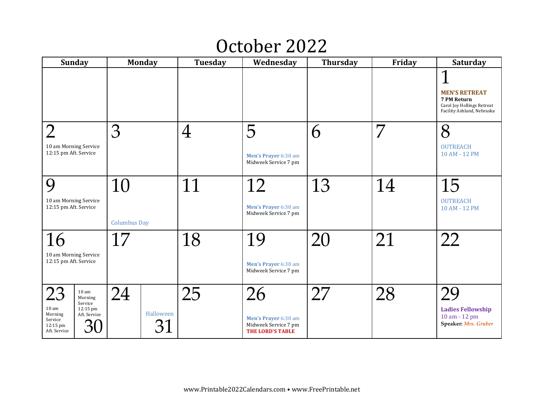### October 2022

| <b>Sunday</b>                                                                                                                                            | <b>Monday</b>         | Tuesday | Wednesday                                                                     | <b>Thursday</b> | Friday | Saturday                                                                                             |
|----------------------------------------------------------------------------------------------------------------------------------------------------------|-----------------------|---------|-------------------------------------------------------------------------------|-----------------|--------|------------------------------------------------------------------------------------------------------|
|                                                                                                                                                          |                       |         |                                                                               |                 |        | 1<br><b>MEN'S RETREAT</b><br>7 PM Return<br>Carol Joy Hollings Retreat<br>Facility Ashland, Nebraska |
| $\overline{2}$                                                                                                                                           | 3                     | $\rm 4$ | 5                                                                             | 6               | 7      | 8                                                                                                    |
| 10 am Morning Service<br>12:15 pm Aft. Service                                                                                                           |                       |         | Men's Prayer 6:30 am<br>Midweek Service 7 pm                                  |                 |        | <b>OUTREACH</b><br>10 AM - 12 PM                                                                     |
| $\mathbf Q$                                                                                                                                              | 10                    | 11      | 12                                                                            | 13              | 14     | 15                                                                                                   |
| 10 am Morning Service<br>12:15 pm Aft. Service                                                                                                           | <b>Columbus Day</b>   |         | Men's Prayer 6:30 am<br>Midweek Service 7 pm                                  |                 |        | <b>OUTREACH</b><br>10 AM - 12 PM                                                                     |
| 16                                                                                                                                                       | 17                    | 18      | 19                                                                            | 20              | 21     | 22                                                                                                   |
| 10 am Morning Service<br>12:15 pm Aft. Service                                                                                                           |                       |         | Men's Prayer 6:30 am<br>Midweek Service 7 pm                                  |                 |        |                                                                                                      |
| 23<br>10 <sub>am</sub><br>Morning<br>Service<br>10 <sub>am</sub><br>12:15 pm<br>Morning<br>Aft. Service<br>Service<br>$12:15 \text{ pm}$<br>Aft. Service | 24<br>Halloween<br>31 | 25      | 26<br>Men's Prayer 6:30 am<br>Midweek Service 7 pm<br><b>THE LORD'S TABLE</b> | 27              | 28     | 29<br><b>Ladies Fellowship</b><br>10 am - 12 pm<br>Speaker: Mrs. Gruber                              |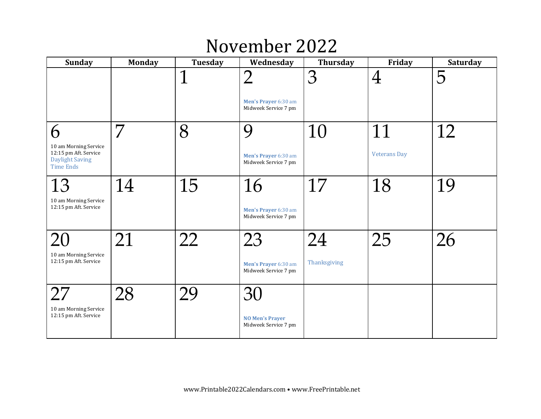### November 2022

| <b>Sunday</b>                                                                                | <b>Monday</b> | Tuesday     | Wednesday                                                      | Thursday           | Friday              | <b>Saturday</b> |
|----------------------------------------------------------------------------------------------|---------------|-------------|----------------------------------------------------------------|--------------------|---------------------|-----------------|
|                                                                                              |               | $\mathbf 1$ | $\overline{2}$<br>Men's Prayer 6:30 am<br>Midweek Service 7 pm | 3                  | $\rm 4$             | 5               |
| 6                                                                                            | 7             | 8           | Q                                                              | 10                 | 11                  | 12              |
| 10 am Morning Service<br>12:15 pm Aft. Service<br><b>Daylight Saving</b><br><b>Time Ends</b> |               |             | Men's Prayer 6:30 am<br>Midweek Service 7 pm                   |                    | <b>Veterans Day</b> |                 |
| 13<br>10 am Morning Service<br>12:15 pm Aft. Service                                         | 14            | 15          | 16<br>Men's Prayer 6:30 am<br>Midweek Service 7 pm             | 17                 | 18                  | 19              |
| 10 am Morning Service<br>12:15 pm Aft. Service                                               | 21            | 22          | 23<br>Men's Prayer 6:30 am<br>Midweek Service 7 pm             | 24<br>Thanksgiving | 25                  | 26              |
| 27<br>10 am Morning Service<br>12:15 pm Aft. Service                                         | 28            | 29          | 30<br><b>NO Men's Prayer</b><br>Midweek Service 7 pm           |                    |                     |                 |